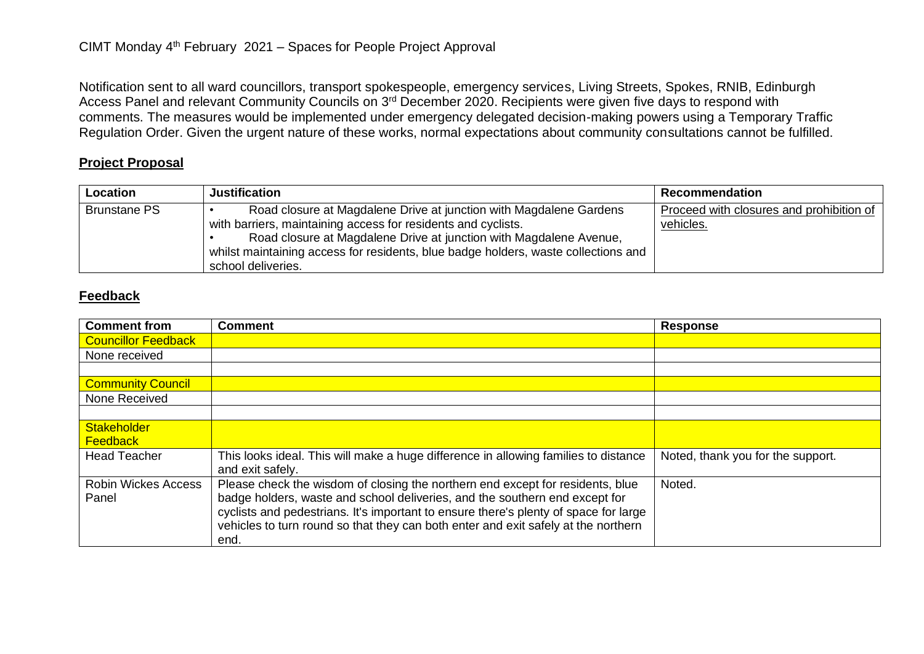Notification sent to all ward councillors, transport spokespeople, emergency services, Living Streets, Spokes, RNIB, Edinburgh Access Panel and relevant Community Councils on 3<sup>rd</sup> December 2020. Recipients were given five days to respond with comments. The measures would be implemented under emergency delegated decision-making powers using a Temporary Traffic Regulation Order. Given the urgent nature of these works, normal expectations about community consultations cannot be fulfilled.

## **Project Proposal**

| Location            | <b>Justification</b>                                                                                                                                                                                                                                                                                                  | Recommendation                                        |
|---------------------|-----------------------------------------------------------------------------------------------------------------------------------------------------------------------------------------------------------------------------------------------------------------------------------------------------------------------|-------------------------------------------------------|
| <b>Brunstane PS</b> | Road closure at Magdalene Drive at junction with Magdalene Gardens<br>with barriers, maintaining access for residents and cyclists.<br>Road closure at Magdalene Drive at junction with Magdalene Avenue,<br>whilst maintaining access for residents, blue badge holders, waste collections and<br>school deliveries. | Proceed with closures and prohibition of<br>vehicles. |

## **Feedback**

| <b>Comment from</b>        | <b>Comment</b>                                                                       | <b>Response</b>                   |
|----------------------------|--------------------------------------------------------------------------------------|-----------------------------------|
| <b>Councillor Feedback</b> |                                                                                      |                                   |
| None received              |                                                                                      |                                   |
|                            |                                                                                      |                                   |
| <b>Community Council</b>   |                                                                                      |                                   |
| None Received              |                                                                                      |                                   |
|                            |                                                                                      |                                   |
| Stakeholder                |                                                                                      |                                   |
| <b>Feedback</b>            |                                                                                      |                                   |
| <b>Head Teacher</b>        | This looks ideal. This will make a huge difference in allowing families to distance  | Noted, thank you for the support. |
|                            | and exit safely.                                                                     |                                   |
| <b>Robin Wickes Access</b> | Please check the wisdom of closing the northern end except for residents, blue       | Noted.                            |
| Panel                      | badge holders, waste and school deliveries, and the southern end except for          |                                   |
|                            | cyclists and pedestrians. It's important to ensure there's plenty of space for large |                                   |
|                            | vehicles to turn round so that they can both enter and exit safely at the northern   |                                   |
|                            | end.                                                                                 |                                   |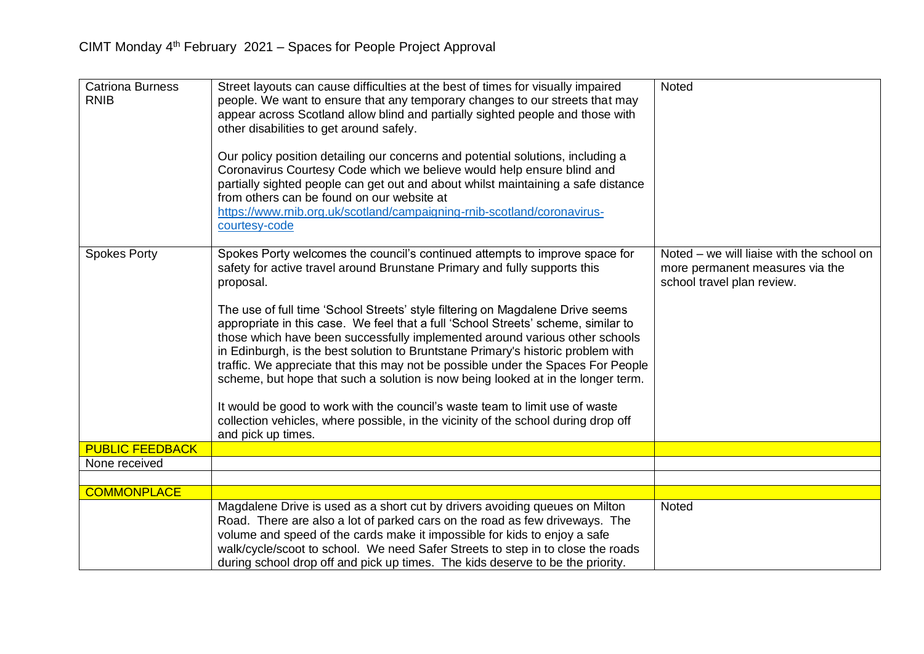| <b>Catriona Burness</b><br><b>RNIB</b> | Street layouts can cause difficulties at the best of times for visually impaired<br>people. We want to ensure that any temporary changes to our streets that may<br>appear across Scotland allow blind and partially sighted people and those with<br>other disabilities to get around safely.<br>Our policy position detailing our concerns and potential solutions, including a<br>Coronavirus Courtesy Code which we believe would help ensure blind and<br>partially sighted people can get out and about whilst maintaining a safe distance<br>from others can be found on our website at<br>https://www.rnib.org.uk/scotland/campaigning-rnib-scotland/coronavirus-<br>courtesy-code                                                                                                                                                                                          | <b>Noted</b>                                                                                               |
|----------------------------------------|-------------------------------------------------------------------------------------------------------------------------------------------------------------------------------------------------------------------------------------------------------------------------------------------------------------------------------------------------------------------------------------------------------------------------------------------------------------------------------------------------------------------------------------------------------------------------------------------------------------------------------------------------------------------------------------------------------------------------------------------------------------------------------------------------------------------------------------------------------------------------------------|------------------------------------------------------------------------------------------------------------|
| <b>Spokes Porty</b>                    | Spokes Porty welcomes the council's continued attempts to improve space for<br>safety for active travel around Brunstane Primary and fully supports this<br>proposal.<br>The use of full time 'School Streets' style filtering on Magdalene Drive seems<br>appropriate in this case. We feel that a full 'School Streets' scheme, similar to<br>those which have been successfully implemented around various other schools<br>in Edinburgh, is the best solution to Bruntstane Primary's historic problem with<br>traffic. We appreciate that this may not be possible under the Spaces For People<br>scheme, but hope that such a solution is now being looked at in the longer term.<br>It would be good to work with the council's waste team to limit use of waste<br>collection vehicles, where possible, in the vicinity of the school during drop off<br>and pick up times. | Noted – we will liaise with the school on<br>more permanent measures via the<br>school travel plan review. |
| <b>PUBLIC FEEDBACK</b>                 |                                                                                                                                                                                                                                                                                                                                                                                                                                                                                                                                                                                                                                                                                                                                                                                                                                                                                     |                                                                                                            |
| None received                          |                                                                                                                                                                                                                                                                                                                                                                                                                                                                                                                                                                                                                                                                                                                                                                                                                                                                                     |                                                                                                            |
|                                        |                                                                                                                                                                                                                                                                                                                                                                                                                                                                                                                                                                                                                                                                                                                                                                                                                                                                                     |                                                                                                            |
| <b>COMMONPLACE</b>                     |                                                                                                                                                                                                                                                                                                                                                                                                                                                                                                                                                                                                                                                                                                                                                                                                                                                                                     |                                                                                                            |
|                                        | Magdalene Drive is used as a short cut by drivers avoiding queues on Milton<br>Road. There are also a lot of parked cars on the road as few driveways. The<br>volume and speed of the cards make it impossible for kids to enjoy a safe<br>walk/cycle/scoot to school. We need Safer Streets to step in to close the roads<br>during school drop off and pick up times. The kids deserve to be the priority.                                                                                                                                                                                                                                                                                                                                                                                                                                                                        | <b>Noted</b>                                                                                               |